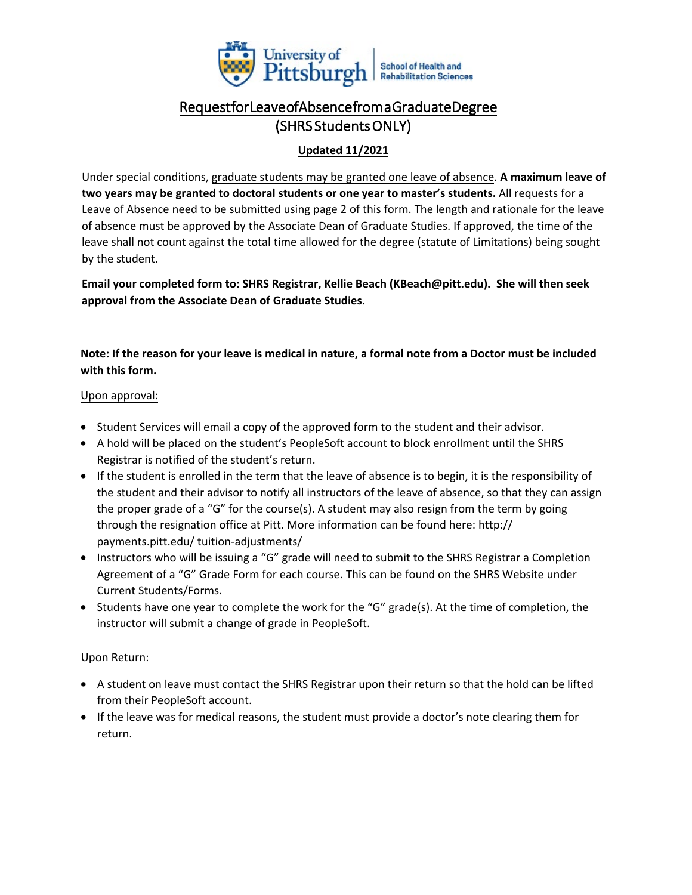

# Request for Leave ofAbsence from a Graduate Degree (SHRS Students ONLY)

## **Updated 11/2021**

Under special conditions, graduate students may be granted one leave of absence. **A maximum leave of two years may be granted to doctoral students or one year to master's students.** All requests for a Leave of Absence need to be submitted using page 2 of this form. The length and rationale for the leave of absence must be approved by the Associate Dean of Graduate Studies. If approved, the time of the leave shall not count against the total time allowed for the degree (statute of Limitations) being sought by the student.

**Email your completed form to: SHRS Registrar, Kellie Beach (KBeach@pitt.edu). She will then seek approval from the Associate Dean of Graduate Studies.**

**Note: If the reason for your leave is medical in nature, a formal note from a Doctor must be included with this form.** 

#### Upon approval:

- Student Services will email a copy of the approved form to the student and their advisor.
- A hold will be placed on the student's PeopleSoft account to block enrollment until the SHRS Registrar is notified of the student's return.
- If the student is enrolled in the term that the leave of absence is to begin, it is the responsibility of the student and their advisor to notify all instructors of the leave of absence, so that they can assign the proper grade of a "G" for the course(s). A student may also resign from the term by going through the resignation office at Pitt. More information can be found here: http:// payments.pitt.edu/ tuition-adjustments/
- Instructors who will be issuing a "G" grade will need to submit to the SHRS Registrar a Completion Agreement of a "G" Grade Form for each course. This can be found on the SHRS Website under Current Students/Forms.
- Students have one year to complete the work for the "G" grade(s). At the time of completion, the instructor will submit a change of grade in PeopleSoft.

### Upon Return:

- A student on leave must contact the SHRS Registrar upon their return so that the hold can be lifted from their PeopleSoft account.
- If the leave was for medical reasons, the student must provide a doctor's note clearing them for return.